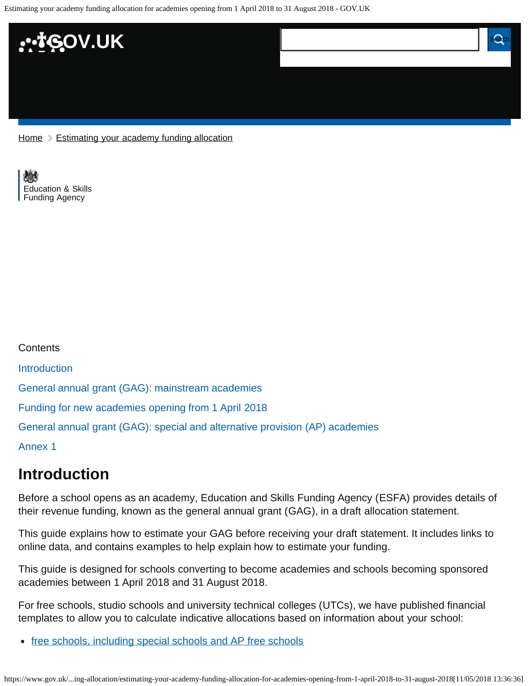

 $Home$   $\geq$  [Estimating your academy funding allocation](https://www.gov.uk/government/publications/estimating-your-academy-funding-allocation)

[Education & Skills](https://www.gov.uk/government/organisations/education-and-skills-funding-agency)  [Funding Agency](https://www.gov.uk/government/organisations/education-and-skills-funding-agency)

| <b>Contents</b>                                                              |
|------------------------------------------------------------------------------|
| <b>Introduction</b>                                                          |
| General annual grant (GAG): mainstream academies                             |
| Funding for new academies opening from 1 April 2018                          |
| General annual grant (GAG): special and alternative provision (AP) academies |
| <b>Annex 1</b>                                                               |

# <span id="page-0-0"></span>**Introduction**

Before a school opens as an academy, Education and Skills Funding Agency (ESFA) provides details of their revenue funding, known as the general annual grant (GAG), in a draft allocation statement.

This guide explains how to estimate your GAG before receiving your draft statement. It includes links to online data, and contains examples to help explain how to estimate your funding.

This guide is designed for schools converting to become academies and schools becoming sponsored academies between 1 April 2018 and 31 August 2018.

For free schools, studio schools and university technical colleges (UTCs), we have published financial templates to allow you to calculate indicative allocations based on information about your school:

• [free schools, including special schools and AP free schools](https://www.gov.uk/government/collections/opening-a-free-school)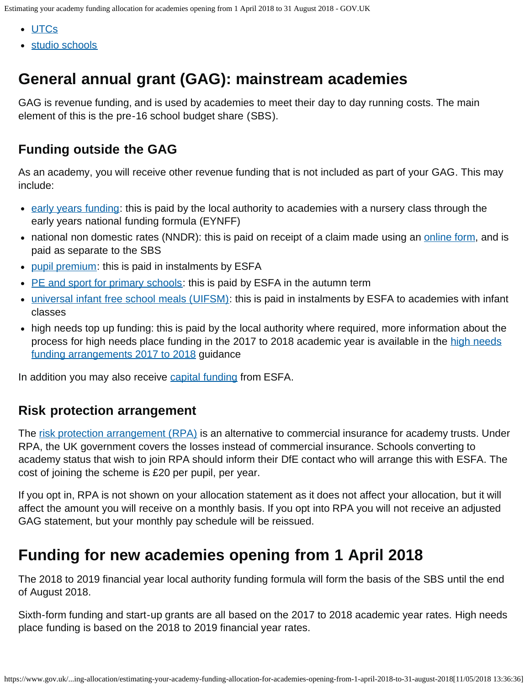- [UTCs](https://www.gov.uk/government/collections/opening-a-utc)
- [studio schools](https://www.gov.uk/government/collections/opening-a-free-school)

# <span id="page-1-0"></span>**General annual grant (GAG): mainstream academies**

GAG is revenue funding, and is used by academies to meet their day to day running costs. The main element of this is the pre-16 school budget share (SBS).

## **Funding outside the GAG**

As an academy, you will receive other revenue funding that is not included as part of your GAG. This may include:

- [early years funding](https://www.gov.uk/government/publications/early-years-national-funding-formula-allocations-and-guidance): this is paid by the local authority to academies with a nursery class through the early years national funding formula (EYNFF)
- national non domestic rates (NNDR): this is paid on receipt of a claim made using an [online form](https://www.gov.uk/guidance/academies-funding-claims), and is paid as separate to the SBS
- [pupil premium:](https://www.gov.uk/guidance/pupil-premium-information-for-schools-and-alternative-provision-settings) this is paid in instalments by ESFA
- [PE and sport for primary schools](https://www.gov.uk/guidance/pe-and-sport-premium-for-primary-schools): this is paid by ESFA in the autumn term
- [universal infant free school meals \(UIFSM\):](https://www.gov.uk/guidance/universal-infant-free-school-meals-guide-for-schools-and-local-authorities) this is paid in instalments by ESFA to academies with infant classes
- high needs top up funding: this is paid by the local authority where required, more information about the process for [high needs](https://www.gov.uk/government/publications/high-needs-funding-arrangements-2017-to-2018) place funding in the 2017 to 2018 academic year is available in the high needs [funding arrangements 2017 to 2018](https://www.gov.uk/government/publications/high-needs-funding-arrangements-2017-to-2018) guidance

In addition you may also receive [capital funding](https://www.gov.uk/government/collections/academies-funding-payments-and-compliance#academies-capital-funding) from ESFA.

### **Risk protection arrangement**

The [risk protection arrangement \(RPA\)](https://www.gov.uk/guidance/academies-risk-protection-arrangement-rpa) is an alternative to commercial insurance for academy trusts. Under RPA, the UK government covers the losses instead of commercial insurance. Schools converting to academy status that wish to join RPA should inform their DfE contact who will arrange this with ESFA. The cost of joining the scheme is £20 per pupil, per year.

If you opt in, RPA is not shown on your allocation statement as it does not affect your allocation, but it will affect the amount you will receive on a monthly basis. If you opt into RPA you will not receive an adjusted GAG statement, but your monthly pay schedule will be reissued.

# <span id="page-1-1"></span>**Funding for new academies opening from 1 April 2018**

The 2018 to 2019 financial year local authority funding formula will form the basis of the SBS until the end of August 2018.

Sixth-form funding and start-up grants are all based on the 2017 to 2018 academic year rates. High needs place funding is based on the 2018 to 2019 financial year rates.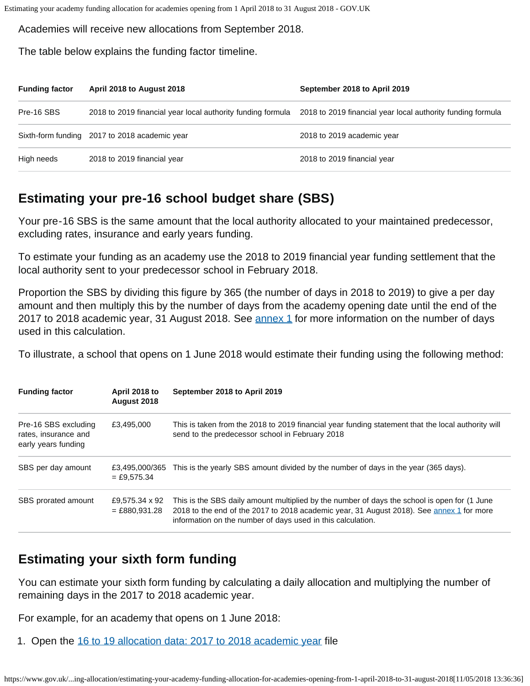Academies will receive new allocations from September 2018.

The table below explains the funding factor timeline.

| <b>Funding factor</b> | April 2018 to August 2018                                   | September 2018 to April 2019                                |
|-----------------------|-------------------------------------------------------------|-------------------------------------------------------------|
| Pre-16 SBS            | 2018 to 2019 financial year local authority funding formula | 2018 to 2019 financial year local authority funding formula |
|                       | Sixth-form funding 2017 to 2018 academic year               | 2018 to 2019 academic year                                  |
| High needs            | 2018 to 2019 financial year                                 | 2018 to 2019 financial year                                 |

### **Estimating your pre-16 school budget share (SBS)**

Your pre-16 SBS is the same amount that the local authority allocated to your maintained predecessor, excluding rates, insurance and early years funding.

To estimate your funding as an academy use the 2018 to 2019 financial year funding settlement that the local authority sent to your predecessor school in February 2018.

Proportion the SBS by dividing this figure by 365 (the number of days in 2018 to 2019) to give a per day amount and then multiply this by the number of days from the academy opening date until the end of the 2017 to 2018 academic year, 31 August 2018. See **annex 1** for more information on the number of days used in this calculation.

To illustrate, a school that opens on 1 June 2018 would estimate their funding using the following method:

| <b>Funding factor</b>                                               | April 2018 to<br>August 2018      | September 2018 to April 2019                                                                                                                                                                                                                            |
|---------------------------------------------------------------------|-----------------------------------|---------------------------------------------------------------------------------------------------------------------------------------------------------------------------------------------------------------------------------------------------------|
| Pre-16 SBS excluding<br>rates, insurance and<br>early years funding | £3,495,000                        | This is taken from the 2018 to 2019 financial year funding statement that the local authority will<br>send to the predecessor school in February 2018                                                                                                   |
| SBS per day amount                                                  | £3.495.000/365<br>$=$ £9.575.34   | This is the yearly SBS amount divided by the number of days in the year (365 days).                                                                                                                                                                     |
| SBS prorated amount                                                 | £9,575.34 x 92<br>$= £880,931.28$ | This is the SBS daily amount multiplied by the number of days the school is open for (1 June<br>2018 to the end of the 2017 to 2018 academic year, 31 August 2018). See annex 1 for more<br>information on the number of days used in this calculation. |

# **Estimating your sixth form funding**

You can estimate your sixth form funding by calculating a daily allocation and multiplying the number of remaining days in the 2017 to 2018 academic year.

For example, for an academy that opens on 1 June 2018:

1. Open the [16 to 19 allocation data: 2017 to 2018 academic year](https://www.gov.uk/government/publications/16-to-19-allocation-data-2017-to-2018-academic-year) file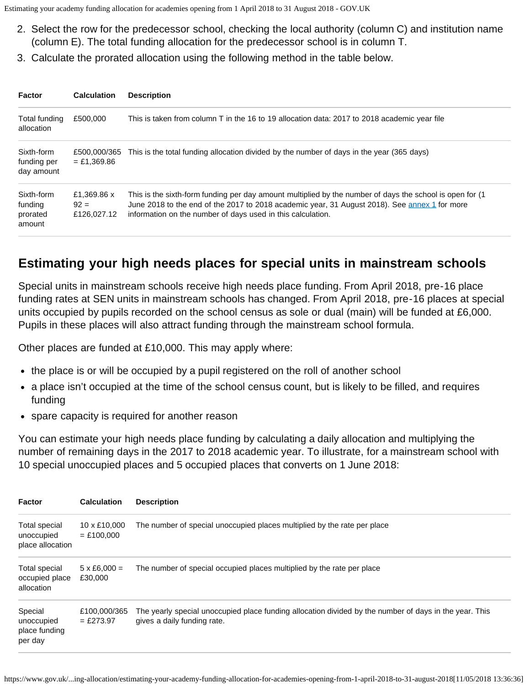- 2. Select the row for the predecessor school, checking the local authority (column C) and institution name (column E). The total funding allocation for the predecessor school is in column T.
- 3. Calculate the prorated allocation using the following method in the table below.

| Factor                                      | <b>Calculation</b>                   | <b>Description</b>                                                                                                                                                                                                                                                        |
|---------------------------------------------|--------------------------------------|---------------------------------------------------------------------------------------------------------------------------------------------------------------------------------------------------------------------------------------------------------------------------|
| Total funding<br>allocation                 | £500,000                             | This is taken from column T in the 16 to 19 allocation data: 2017 to 2018 academic year file                                                                                                                                                                              |
| Sixth-form<br>funding per<br>day amount     | £500.000/365<br>$=$ £1.369.86        | This is the total funding allocation divided by the number of days in the year (365 days)                                                                                                                                                                                 |
| Sixth-form<br>funding<br>prorated<br>amount | £1,369.86 x<br>$92 =$<br>£126,027.12 | This is the sixth-form funding per day amount multiplied by the number of days the school is open for (1)<br>June 2018 to the end of the 2017 to 2018 academic year, 31 August 2018). See annex 1 for more<br>information on the number of days used in this calculation. |

### **Estimating your high needs places for special units in mainstream schools**

Special units in mainstream schools receive high needs place funding. From April 2018, pre-16 place funding rates at SEN units in mainstream schools has changed. From April 2018, pre-16 places at special units occupied by pupils recorded on the school census as sole or dual (main) will be funded at £6,000. Pupils in these places will also attract funding through the mainstream school formula.

Other places are funded at £10,000. This may apply where:

- the place is or will be occupied by a pupil registered on the roll of another school
- a place isn't occupied at the time of the school census count, but is likely to be filled, and requires funding
- spare capacity is required for another reason

You can estimate your high needs place funding by calculating a daily allocation and multiplying the number of remaining days in the 2017 to 2018 academic year. To illustrate, for a mainstream school with 10 special unoccupied places and 5 occupied places that converts on 1 June 2018:

| <b>Factor</b>                                        | <b>Calculation</b>             | <b>Description</b>                                                                                                                    |  |
|------------------------------------------------------|--------------------------------|---------------------------------------------------------------------------------------------------------------------------------------|--|
| Total special<br>unoccupied<br>place allocation      | 10 x £10,000<br>$=$ £100,000   | The number of special unoccupied places multiplied by the rate per place                                                              |  |
| <b>Total special</b><br>occupied place<br>allocation | $5 \times £6,000 =$<br>£30,000 | The number of special occupied places multiplied by the rate per place                                                                |  |
| Special<br>unoccupied<br>place funding<br>per day    | £100,000/365<br>$=$ £273.97    | The yearly special unoccupied place funding allocation divided by the number of days in the year. This<br>gives a daily funding rate. |  |

https://www.gov.uk/...ing-allocation/estimating-your-academy-funding-allocation-for-academies-opening-from-1-april-2018-to-31-august-2018[11/05/2018 13:36:36]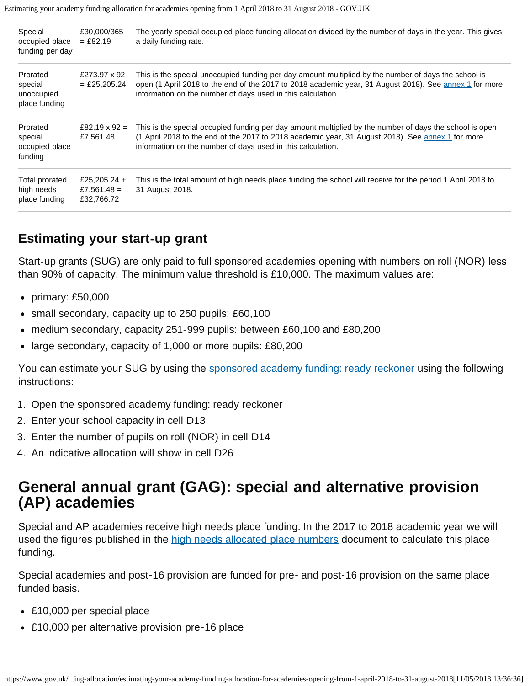| Special<br>occupied place<br>funding per day         | £30,000/365<br>$=$ £82.19                 | The yearly special occupied place funding allocation divided by the number of days in the year. This gives<br>a daily funding rate.                                                                                                                                                    |
|------------------------------------------------------|-------------------------------------------|----------------------------------------------------------------------------------------------------------------------------------------------------------------------------------------------------------------------------------------------------------------------------------------|
| Prorated<br>special<br>unoccupied<br>place funding   | £273.97 x 92<br>$=$ £25,205.24            | This is the special unoccupied funding per day amount multiplied by the number of days the school is<br>open (1 April 2018 to the end of the 2017 to 2018 academic year, 31 August 2018). See annex 1 for more<br>information on the number of days used in this calculation.          |
| Prorated<br>special<br>occupied place<br>funding     | £82.19 $\times$ 92 =<br>£7,561.48         | This is the special occupied funding per day amount multiplied by the number of days the school is open<br>(1 April 2018 to the end of the 2017 to 2018 academic year, 31 August 2018). See $\frac{2018}{100}$ for more<br>information on the number of days used in this calculation. |
| <b>Total prorated</b><br>high needs<br>place funding | £25,205.24 +<br>£7,561.48 =<br>£32,766.72 | This is the total amount of high needs place funding the school will receive for the period 1 April 2018 to<br>31 August 2018.                                                                                                                                                         |

### **Estimating your start-up grant**

Start-up grants (SUG) are only paid to full sponsored academies opening with numbers on roll (NOR) less than 90% of capacity. The minimum value threshold is £10,000. The maximum values are:

- primary: £50,000
- small secondary, capacity up to 250 pupils: £60,100
- medium secondary, capacity 251-999 pupils: between £60,100 and £80,200
- large secondary, capacity of 1,000 or more pupils: £80,200

You can estimate your SUG by using the [sponsored academy funding: ready reckoner](https://www.gov.uk/government/publications/sponsored-academies-funding-guidance-for-sponsors) using the following instructions:

- 1. Open the sponsored academy funding: ready reckoner
- 2. Enter your school capacity in cell D13
- 3. Enter the number of pupils on roll (NOR) in cell D14
- 4. An indicative allocation will show in cell D26

# <span id="page-4-0"></span>**General annual grant (GAG): special and alternative provision (AP) academies**

Special and AP academies receive high needs place funding. In the 2017 to 2018 academic year we will used the figures published in the [high needs allocated place numbers](https://www.gov.uk/government/publications/high-needs-allocated-place-numbers) document to calculate this place funding.

Special academies and post-16 provision are funded for pre- and post-16 provision on the same place funded basis.

- £10,000 per special place
- £10,000 per alternative provision pre-16 place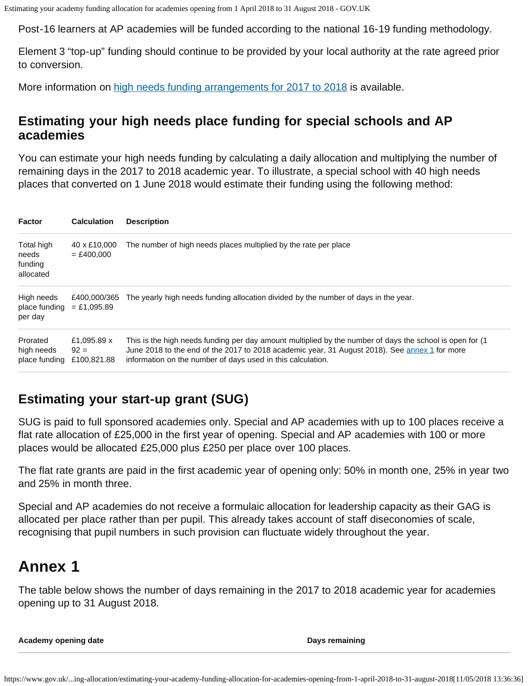Post-16 learners at AP academies will be funded according to the national 16-19 funding methodology.

Element 3 "top-up" funding should continue to be provided by your local authority at the rate agreed prior to conversion.

More information on [high needs funding arrangements for 2017 to 2018](https://www.gov.uk/government/publications/high-needs-funding-arrangements-2017-to-2018) is available.

#### **Estimating your high needs place funding for special schools and AP academies**

You can estimate your high needs funding by calculating a daily allocation and multiplying the number of remaining days in the 2017 to 2018 academic year. To illustrate, a special school with 40 high needs places that converted on 1 June 2018 would estimate their funding using the following method:

| <b>Factor</b>                               | <b>Calculation</b>                   | <b>Description</b>                                                                                                                                                                                                                                                        |  |
|---------------------------------------------|--------------------------------------|---------------------------------------------------------------------------------------------------------------------------------------------------------------------------------------------------------------------------------------------------------------------------|--|
| Total high<br>needs<br>funding<br>allocated | 40 x £10,000<br>$= £400.000$         | The number of high needs places multiplied by the rate per place                                                                                                                                                                                                          |  |
| High needs<br>place funding<br>per day      | £400.000/365<br>$=$ £1.095.89        | The yearly high needs funding allocation divided by the number of days in the year.                                                                                                                                                                                       |  |
| Prorated<br>high needs<br>place funding     | £1,095.89 x<br>$92 =$<br>£100,821.88 | This is the high needs funding per day amount multiplied by the number of days the school is open for (1)<br>June 2018 to the end of the 2017 to 2018 academic year, 31 August 2018). See annex 1 for more<br>information on the number of days used in this calculation. |  |

## **Estimating your start-up grant (SUG)**

SUG is paid to full sponsored academies only. Special and AP academies with up to 100 places receive a flat rate allocation of £25,000 in the first year of opening. Special and AP academies with 100 or more places would be allocated £25,000 plus £250 per place over 100 places.

The flat rate grants are paid in the first academic year of opening only: 50% in month one, 25% in year two and 25% in month three.

Special and AP academies do not receive a formulaic allocation for leadership capacity as their GAG is allocated per place rather than per pupil. This already takes account of staff diseconomies of scale, recognising that pupil numbers in such provision can fluctuate widely throughout the year.

# <span id="page-5-0"></span>**Annex 1**

The table below shows the number of days remaining in the 2017 to 2018 academic year for academies opening up to 31 August 2018.

**Academy opening date Days remaining**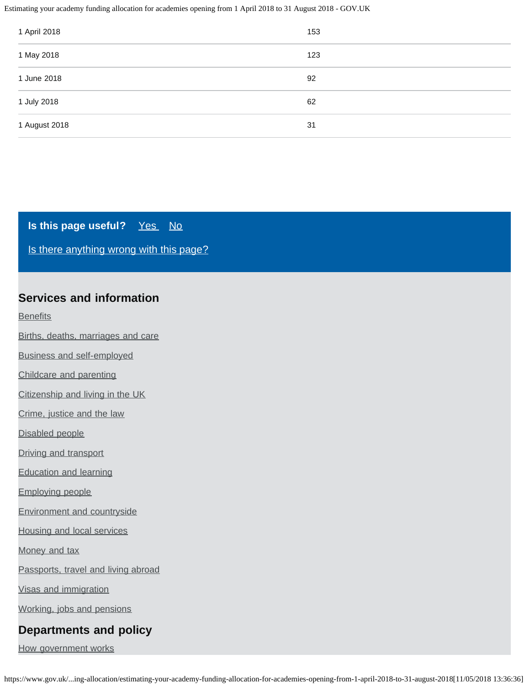| 1 April 2018  | 153 |
|---------------|-----|
| 1 May 2018    | 123 |
| 1 June 2018   | 92  |
| 1 July 2018   | 62  |
| 1 August 2018 | 31  |

#### **Is this page useful?** [Yes No](https://www.gov.uk/contact/govuk)

[Is there anything wrong with this page?](https://www.gov.uk/contact/govuk)

#### **Services and information**

**[Benefits](https://www.gov.uk/browse/benefits)** 

[Births, deaths, marriages and care](https://www.gov.uk/browse/births-deaths-marriages)

[Business and self-employed](https://www.gov.uk/browse/business)

[Childcare and parenting](https://www.gov.uk/browse/childcare-parenting)

[Citizenship and living in the UK](https://www.gov.uk/browse/citizenship)

[Crime, justice and the law](https://www.gov.uk/browse/justice)

[Disabled people](https://www.gov.uk/browse/disabilities)

[Driving and transport](https://www.gov.uk/browse/driving)

[Education and learning](https://www.gov.uk/browse/education)

[Employing people](https://www.gov.uk/browse/employing-people)

[Environment and countryside](https://www.gov.uk/browse/environment-countryside)

[Housing and local services](https://www.gov.uk/browse/housing-local-services)

[Money and tax](https://www.gov.uk/browse/tax)

[Passports, travel and living abroad](https://www.gov.uk/browse/abroad)

[Visas and immigration](https://www.gov.uk/browse/visas-immigration)

[Working, jobs and pensions](https://www.gov.uk/browse/working)

#### **Departments and policy**

[How government works](https://www.gov.uk/government/how-government-works)